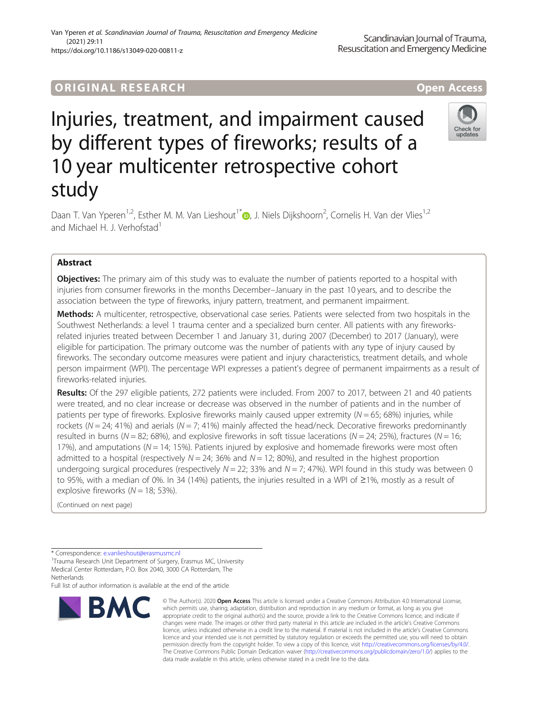## ORIGINA L R E S EA RCH Open Access

# Injuries, treatment, and impairment caused by different types of fireworks; results of a 10 year multicenter retrospective cohort study



Daan T. Van Yperen<sup>1[,](http://orcid.org/0000-0002-2864-214X)2</sup>, Esther M. M. Van Lieshout<sup>1\*</sup> (**b**, J. Niels Dijkshoorn<sup>2</sup>, Cornelis H. Van der Vlies<sup>1,2</sup> and Michael H. J. Verhofstad<sup>1</sup>

### Abstract

**Objectives:** The primary aim of this study was to evaluate the number of patients reported to a hospital with injuries from consumer fireworks in the months December–January in the past 10 years, and to describe the association between the type of fireworks, injury pattern, treatment, and permanent impairment.

Methods: A multicenter, retrospective, observational case series. Patients were selected from two hospitals in the Southwest Netherlands: a level 1 trauma center and a specialized burn center. All patients with any fireworksrelated injuries treated between December 1 and January 31, during 2007 (December) to 2017 (January), were eligible for participation. The primary outcome was the number of patients with any type of injury caused by fireworks. The secondary outcome measures were patient and injury characteristics, treatment details, and whole person impairment (WPI). The percentage WPI expresses a patient's degree of permanent impairments as a result of fireworks-related injuries.

Results: Of the 297 eligible patients, 272 patients were included. From 2007 to 2017, between 21 and 40 patients were treated, and no clear increase or decrease was observed in the number of patients and in the number of patients per type of fireworks. Explosive fireworks mainly caused upper extremity ( $N = 65$ ; 68%) injuries, while rockets ( $N = 24$ ; 41%) and aerials ( $N = 7$ ; 41%) mainly affected the head/neck. Decorative fireworks predominantly resulted in burns (N = 82; 68%), and explosive fireworks in soft tissue lacerations (N = 24; 25%), fractures (N = 16; 17%), and amputations ( $N = 14$ ; 15%). Patients injured by explosive and homemade fireworks were most often admitted to a hospital (respectively  $N = 24$ ; 36% and  $N = 12$ ; 80%), and resulted in the highest proportion undergoing surgical procedures (respectively  $N = 22$ ; 33% and  $N = 7$ ; 47%). WPI found in this study was between 0 to 95%, with a median of 0%. In 34 (14%) patients, the injuries resulted in a WPI of ≥1%, mostly as a result of explosive fireworks  $(N = 18; 53\%)$ .

(Continued on next page)

Full list of author information is available at the end of the article



<sup>©</sup> The Author(s), 2020 **Open Access** This article is licensed under a Creative Commons Attribution 4.0 International License, which permits use, sharing, adaptation, distribution and reproduction in any medium or format, as long as you give appropriate credit to the original author(s) and the source, provide a link to the Creative Commons licence, and indicate if changes were made. The images or other third party material in this article are included in the article's Creative Commons licence, unless indicated otherwise in a credit line to the material. If material is not included in the article's Creative Commons licence and your intended use is not permitted by statutory regulation or exceeds the permitted use, you will need to obtain permission directly from the copyright holder. To view a copy of this licence, visit [http://creativecommons.org/licenses/by/4.0/.](http://creativecommons.org/licenses/by/4.0/) The Creative Commons Public Domain Dedication waiver [\(http://creativecommons.org/publicdomain/zero/1.0/](http://creativecommons.org/publicdomain/zero/1.0/)) applies to the data made available in this article, unless otherwise stated in a credit line to the data.

<sup>\*</sup> Correspondence: [e.vanlieshout@erasmusmc.nl](mailto:e.vanlieshout@erasmusmc.nl) <sup>1</sup>

<sup>&</sup>lt;sup>1</sup>Trauma Research Unit Department of Surgery, Erasmus MC, University Medical Center Rotterdam, P.O. Box 2040, 3000 CA Rotterdam, The **Netherlands**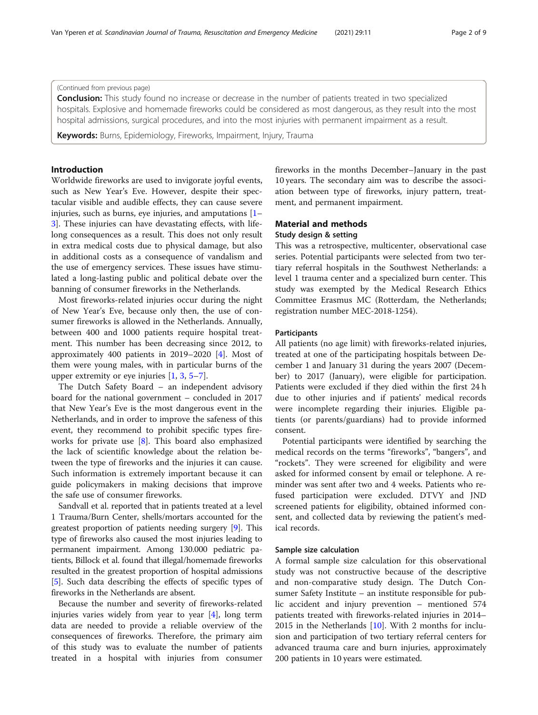#### (Continued from previous page)

**Conclusion:** This study found no increase or decrease in the number of patients treated in two specialized hospitals. Explosive and homemade fireworks could be considered as most dangerous, as they result into the most hospital admissions, surgical procedures, and into the most injuries with permanent impairment as a result.

Keywords: Burns, Epidemiology, Fireworks, Impairment, Injury, Trauma

#### Introduction

Worldwide fireworks are used to invigorate joyful events, such as New Year's Eve. However, despite their spectacular visible and audible effects, they can cause severe injuries, such as burns, eye injuries, and amputations [[1](#page-8-0)– [3\]](#page-8-0). These injuries can have devastating effects, with lifelong consequences as a result. This does not only result in extra medical costs due to physical damage, but also in additional costs as a consequence of vandalism and the use of emergency services. These issues have stimulated a long-lasting public and political debate over the banning of consumer fireworks in the Netherlands.

Most fireworks-related injuries occur during the night of New Year's Eve, because only then, the use of consumer fireworks is allowed in the Netherlands. Annually, between 400 and 1000 patients require hospital treatment. This number has been decreasing since 2012, to approximately 400 patients in 2019–2020 [[4\]](#page-8-0). Most of them were young males, with in particular burns of the upper extremity or eye injuries [\[1](#page-8-0), [3](#page-8-0), [5](#page-8-0)–[7](#page-8-0)].

The Dutch Safety Board – an independent advisory board for the national government – concluded in 2017 that New Year's Eve is the most dangerous event in the Netherlands, and in order to improve the safeness of this event, they recommend to prohibit specific types fireworks for private use [\[8](#page-8-0)]. This board also emphasized the lack of scientific knowledge about the relation between the type of fireworks and the injuries it can cause. Such information is extremely important because it can guide policymakers in making decisions that improve the safe use of consumer fireworks.

Sandvall et al. reported that in patients treated at a level 1 Trauma/Burn Center, shells/mortars accounted for the greatest proportion of patients needing surgery [[9](#page-8-0)]. This type of fireworks also caused the most injuries leading to permanent impairment. Among 130.000 pediatric patients, Billock et al. found that illegal/homemade fireworks resulted in the greatest proportion of hospital admissions [[5\]](#page-8-0). Such data describing the effects of specific types of fireworks in the Netherlands are absent.

Because the number and severity of fireworks-related injuries varies widely from year to year [[4\]](#page-8-0), long term data are needed to provide a reliable overview of the consequences of fireworks. Therefore, the primary aim of this study was to evaluate the number of patients treated in a hospital with injuries from consumer fireworks in the months December–January in the past 10 years. The secondary aim was to describe the association between type of fireworks, injury pattern, treatment, and permanent impairment.

#### Material and methods

#### Study design & setting

This was a retrospective, multicenter, observational case series. Potential participants were selected from two tertiary referral hospitals in the Southwest Netherlands: a level 1 trauma center and a specialized burn center. This study was exempted by the Medical Research Ethics Committee Erasmus MC (Rotterdam, the Netherlands; registration number MEC-2018-1254).

#### **Participants**

All patients (no age limit) with fireworks-related injuries, treated at one of the participating hospitals between December 1 and January 31 during the years 2007 (December) to 2017 (January), were eligible for participation. Patients were excluded if they died within the first 24 h due to other injuries and if patients' medical records were incomplete regarding their injuries. Eligible patients (or parents/guardians) had to provide informed consent.

Potential participants were identified by searching the medical records on the terms "fireworks", "bangers", and "rockets". They were screened for eligibility and were asked for informed consent by email or telephone. A reminder was sent after two and 4 weeks. Patients who refused participation were excluded. DTVY and JND screened patients for eligibility, obtained informed consent, and collected data by reviewing the patient's medical records.

#### Sample size calculation

A formal sample size calculation for this observational study was not constructive because of the descriptive and non-comparative study design. The Dutch Consumer Safety Institute – an institute responsible for public accident and injury prevention – mentioned 574 patients treated with fireworks-related injuries in 2014– 2015 in the Netherlands [[10\]](#page-8-0). With 2 months for inclusion and participation of two tertiary referral centers for advanced trauma care and burn injuries, approximately 200 patients in 10 years were estimated.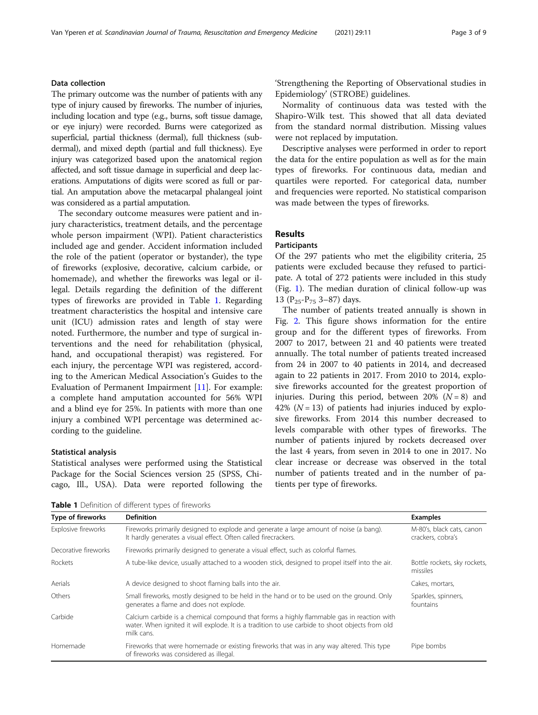#### Data collection

The primary outcome was the number of patients with any type of injury caused by fireworks. The number of injuries, including location and type (e.g., burns, soft tissue damage, or eye injury) were recorded. Burns were categorized as superficial, partial thickness (dermal), full thickness (subdermal), and mixed depth (partial and full thickness). Eye injury was categorized based upon the anatomical region affected, and soft tissue damage in superficial and deep lacerations. Amputations of digits were scored as full or partial. An amputation above the metacarpal phalangeal joint was considered as a partial amputation.

The secondary outcome measures were patient and injury characteristics, treatment details, and the percentage whole person impairment (WPI). Patient characteristics included age and gender. Accident information included the role of the patient (operator or bystander), the type of fireworks (explosive, decorative, calcium carbide, or homemade), and whether the fireworks was legal or illegal. Details regarding the definition of the different types of fireworks are provided in Table 1. Regarding treatment characteristics the hospital and intensive care unit (ICU) admission rates and length of stay were noted. Furthermore, the number and type of surgical interventions and the need for rehabilitation (physical, hand, and occupational therapist) was registered. For each injury, the percentage WPI was registered, according to the American Medical Association's Guides to the Evaluation of Permanent Impairment [\[11](#page-8-0)]. For example: a complete hand amputation accounted for 56% WPI and a blind eye for 25%. In patients with more than one injury a combined WPI percentage was determined according to the guideline.

#### Statistical analysis

Statistical analyses were performed using the Statistical Package for the Social Sciences version 25 (SPSS, Chicago, Ill., USA). Data were reported following the 'Strengthening the Reporting of Observational studies in Epidemiology' (STROBE) guidelines.

Normality of continuous data was tested with the Shapiro-Wilk test. This showed that all data deviated from the standard normal distribution. Missing values were not replaced by imputation.

Descriptive analyses were performed in order to report the data for the entire population as well as for the main types of fireworks. For continuous data, median and quartiles were reported. For categorical data, number and frequencies were reported. No statistical comparison was made between the types of fireworks.

#### Results

#### **Participants**

Of the 297 patients who met the eligibility criteria, 25 patients were excluded because they refused to participate. A total of 272 patients were included in this study (Fig. [1\)](#page-3-0). The median duration of clinical follow-up was 13 ( $P_{25} - P_{75}$  3–87) days.

The number of patients treated annually is shown in Fig. [2](#page-3-0). This figure shows information for the entire group and for the different types of fireworks. From 2007 to 2017, between 21 and 40 patients were treated annually. The total number of patients treated increased from 24 in 2007 to 40 patients in 2014, and decreased again to 22 patients in 2017. From 2010 to 2014, explosive fireworks accounted for the greatest proportion of injuries. During this period, between 20%  $(N = 8)$  and 42% ( $N = 13$ ) of patients had injuries induced by explosive fireworks. From 2014 this number decreased to levels comparable with other types of fireworks. The number of patients injured by rockets decreased over the last 4 years, from seven in 2014 to one in 2017. No clear increase or decrease was observed in the total number of patients treated and in the number of patients per type of fireworks.

Table 1 Definition of different types of fireworks

| Type of fireworks    | <b>Definition</b>                                                                                                                                                                                          | <b>Examples</b>                                |
|----------------------|------------------------------------------------------------------------------------------------------------------------------------------------------------------------------------------------------------|------------------------------------------------|
| Explosive fireworks  | Fireworks primarily designed to explode and generate a large amount of noise (a bang).<br>It hardly generates a visual effect. Often called firecrackers.                                                  | M-80's, black cats, canon<br>crackers, cobra's |
| Decorative fireworks | Fireworks primarily designed to generate a visual effect, such as colorful flames.                                                                                                                         |                                                |
| Rockets              | A tube-like device, usually attached to a wooden stick, designed to propel itself into the air.                                                                                                            | Bottle rockets, sky rockets,<br>missiles       |
| Aerials              | A device designed to shoot flaming balls into the air.                                                                                                                                                     | Cakes, mortars,                                |
| Others               | Small fireworks, mostly designed to be held in the hand or to be used on the ground. Only<br>generates a flame and does not explode.                                                                       | Sparkles, spinners,<br>fountains               |
| Carbide              | Calcium carbide is a chemical compound that forms a highly flammable gas in reaction with<br>water. When ignited it will explode. It is a tradition to use carbide to shoot objects from old<br>milk cans. |                                                |
| Homemade             | Fireworks that were homemade or existing fireworks that was in any way altered. This type<br>of fireworks was considered as illegal.                                                                       | Pipe bombs                                     |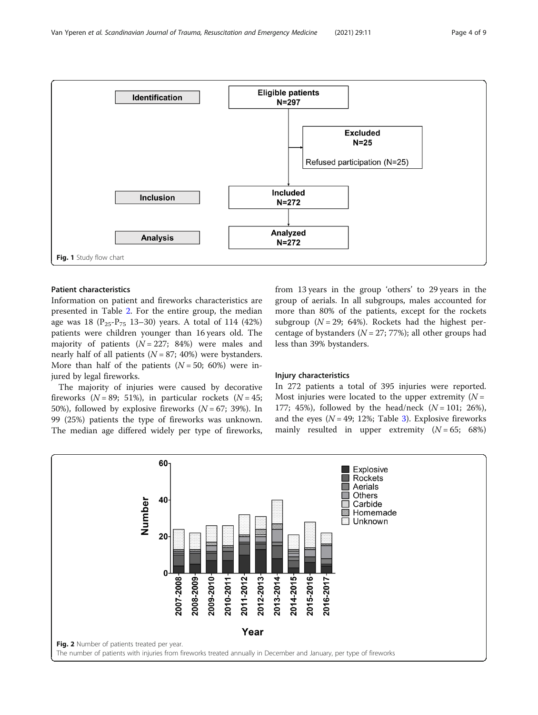

<span id="page-3-0"></span>

#### Patient characteristics

Information on patient and fireworks characteristics are presented in Table [2](#page-4-0). For the entire group, the median age was 18 ( $P_{25}P_{75}$  13–30) years. A total of 114 (42%) patients were children younger than 16 years old. The majority of patients  $(N = 227; 84%)$  were males and nearly half of all patients ( $N = 87$ ; 40%) were bystanders. More than half of the patients  $(N = 50; 60%)$  were injured by legal fireworks.

The majority of injuries were caused by decorative fireworks ( $N = 89$ ; 51%), in particular rockets ( $N = 45$ ; 50%), followed by explosive fireworks  $(N = 67; 39%)$ . In 99 (25%) patients the type of fireworks was unknown. The median age differed widely per type of fireworks, from 13 years in the group 'others' to 29 years in the group of aerials. In all subgroups, males accounted for more than 80% of the patients, except for the rockets subgroup  $(N = 29; 64%)$ . Rockets had the highest percentage of bystanders  $(N = 27; 77%)$ ; all other groups had less than 39% bystanders.

#### Injury characteristics

In 272 patients a total of 395 injuries were reported. Most injuries were located to the upper extremity  $(N =$ 177; 45%), followed by the head/neck  $(N = 101; 26%)$ , and the eyes ( $N = 49$ ; 12%; Table [3\)](#page-5-0). Explosive fireworks mainly resulted in upper extremity  $(N = 65; 68%)$ 

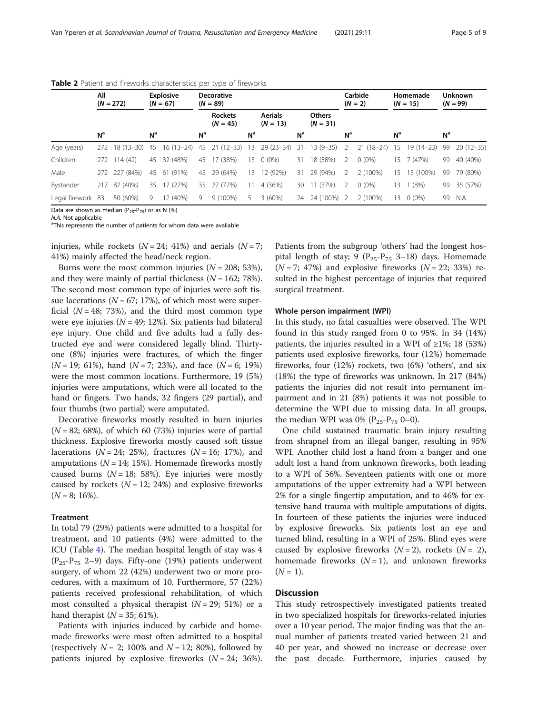|                   | All<br>$(N = 272)$ |                | <b>Explosive</b><br>$(N = 67)$ |             |                | <b>Decorative</b><br>$(N = 89)$ |                |                              |                |                             |                | Carbide<br>$(N = 2)$ |                | Homemade<br>$(N = 15)$ | <b>Unknown</b><br>$(N = 99)$ |               |  |
|-------------------|--------------------|----------------|--------------------------------|-------------|----------------|---------------------------------|----------------|------------------------------|----------------|-----------------------------|----------------|----------------------|----------------|------------------------|------------------------------|---------------|--|
|                   |                    |                |                                |             |                | <b>Rockets</b><br>$(N = 45)$    |                | <b>Aerials</b><br>$(N = 13)$ |                | <b>Others</b><br>$(N = 31)$ |                |                      |                |                        |                              |               |  |
|                   | N <sup>a</sup>     |                | N <sup>a</sup>                 |             | N <sup>a</sup> |                                 | N <sup>a</sup> |                              | N <sup>a</sup> |                             | N <sup>a</sup> |                      | N <sup>a</sup> |                        | N <sup>a</sup>               |               |  |
| Age (years)       | 272                | 18 (13-30)     | 45                             | $16(13-24)$ | -45            | $21(12-33)$                     | 13             | $29(23-34)$                  | - 31           | $13(9-35)$                  | $\overline{2}$ | $21(18-24)$          | 15             | $19(14-23)$            | 99                           | $20(12 - 35)$ |  |
| Children          | 272                | 114(42)        | 45                             | 32 (48%)    | 45             | (38%)<br>17                     |                | 13 0 (0%)                    | 31             | 18 (58%)                    | -2             | $0(0\%)$             | 15             | 7 (47%)                | 99                           | 40 (40%)      |  |
| Male              | 272                | 227 (84%)      | 45                             | 61 (91%)    | 45             | 29 (64%)                        | 13             | 12 (92%)                     | 31             | 29 (94%)                    | 2              | 2 (100%)             | 15             | 15 (100%)              | 99                           | 79 (80%)      |  |
| Bystander         | 217                | $(40\%)$<br>87 | 35                             | 17 (27%)    | 35             | 27 (77%)                        | 11             | 4 (36%)                      | 30             | 11 (37%)                    | 2              | $0(0\%)$             | 13             | (8%)                   | 99                           | 35 (57%)      |  |
| Legal firework 83 |                    | 50 (60%)       | 9                              | 12 (40%)    | 9              | $9(100\%)$                      | 5.             | 3(60%)                       | 24             | 24 (100%) 2                 |                | 2 (100%)             | 13.            | $0(0\%)$               | 99                           | N.A.          |  |

<span id="page-4-0"></span>Table 2 Patient and fireworks characteristics per type of fireworks

Data are shown as median  $(P_{25}-P_{75})$  or as N (%)

N.A. Not applicable

<sup>a</sup>This represents the number of patients for whom data were available

injuries, while rockets ( $N = 24$ ; 41%) and aerials ( $N = 7$ ; 41%) mainly affected the head/neck region.

Burns were the most common injuries ( $N = 208$ ; 53%), and they were mainly of partial thickness  $(N = 162; 78\%)$ . The second most common type of injuries were soft tissue lacerations ( $N = 67$ ; 17%), of which most were superficial  $(N = 48; 73%)$ , and the third most common type were eye injuries ( $N = 49$ ; 12%). Six patients had bilateral eye injury. One child and five adults had a fully destructed eye and were considered legally blind. Thirtyone (8%) injuries were fractures, of which the finger  $(N = 19; 61\%)$ , hand  $(N = 7; 23\%)$ , and face  $(N = 6; 19\%)$ were the most common locations. Furthermore, 19 (5%) injuries were amputations, which were all located to the hand or fingers. Two hands, 32 fingers (29 partial), and four thumbs (two partial) were amputated.

Decorative fireworks mostly resulted in burn injuries  $(N = 82; 68%)$ , of which 60 (73%) injuries were of partial thickness. Explosive fireworks mostly caused soft tissue lacerations ( $N = 24$ ; 25%), fractures ( $N = 16$ ; 17%), and amputations ( $N = 14$ ; 15%). Homemade fireworks mostly caused burns ( $N = 18$ ; 58%). Eye injuries were mostly caused by rockets  $(N = 12; 24%)$  and explosive fireworks  $(N = 8; 16\%).$ 

#### **Treatment**

In total 79 (29%) patients were admitted to a hospital for treatment, and 10 patients (4%) were admitted to the ICU (Table [4](#page-6-0)). The median hospital length of stay was 4  $(P_{25}-P_{75}$  2–9) days. Fifty-one (19%) patients underwent surgery, of whom 22 (42%) underwent two or more procedures, with a maximum of 10. Furthermore, 57 (22%) patients received professional rehabilitation, of which most consulted a physical therapist  $(N = 29; 51%)$  or a hand therapist  $(N = 35; 61\%).$ 

Patients with injuries induced by carbide and homemade fireworks were most often admitted to a hospital (respectively  $N = 2$ ; 100% and  $N = 12$ ; 80%), followed by patients injured by explosive fireworks  $(N = 24; 36\%).$ 

Patients from the subgroup 'others' had the longest hospital length of stay; 9 ( $P_{25}-P_{75}$  3-18) days. Homemade  $(N = 7; 47%)$  and explosive fireworks  $(N = 22; 33%)$  resulted in the highest percentage of injuries that required surgical treatment.

#### Whole person impairment (WPI)

In this study, no fatal casualties were observed. The WPI found in this study ranged from 0 to 95%. In 34 (14%) patients, the injuries resulted in a WPI of  $\geq$ 1%; 18 (53%) patients used explosive fireworks, four (12%) homemade fireworks, four (12%) rockets, two (6%) 'others', and six (18%) the type of fireworks was unknown. In 217 (84%) patients the injuries did not result into permanent impairment and in 21 (8%) patients it was not possible to determine the WPI due to missing data. In all groups, the median WPI was 0% ( $P_{25}P_{75}$  0–0).

One child sustained traumatic brain injury resulting from shrapnel from an illegal banger, resulting in 95% WPI. Another child lost a hand from a banger and one adult lost a hand from unknown fireworks, both leading to a WPI of 56%. Seventeen patients with one or more amputations of the upper extremity had a WPI between 2% for a single fingertip amputation, and to 46% for extensive hand trauma with multiple amputations of digits. In fourteen of these patients the injuries were induced by explosive fireworks. Six patients lost an eye and turned blind, resulting in a WPI of 25%. Blind eyes were caused by explosive fireworks  $(N=2)$ , rockets  $(N=2)$ , homemade fireworks  $(N = 1)$ , and unknown fireworks  $(N = 1)$ .

#### **Discussion**

This study retrospectively investigated patients treated in two specialized hospitals for fireworks-related injuries over a 10 year period. The major finding was that the annual number of patients treated varied between 21 and 40 per year, and showed no increase or decrease over the past decade. Furthermore, injuries caused by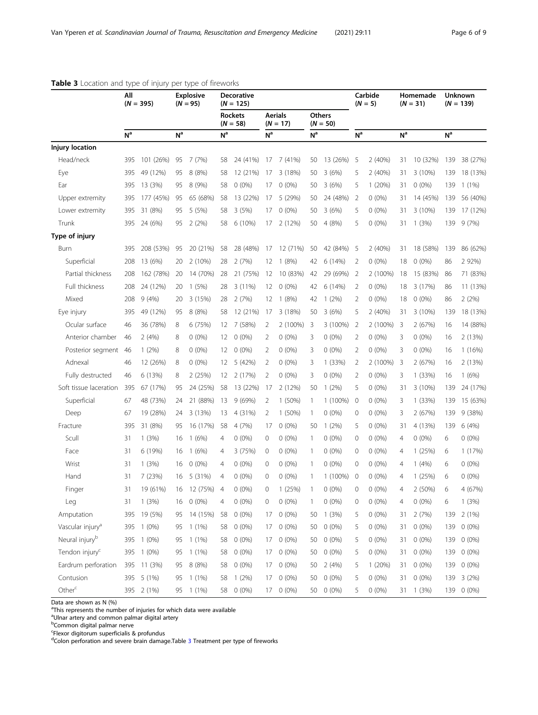<span id="page-5-0"></span>

|                 | All            | $(N = 395)$   |                |                 |                |                              |                | <b>Explosive</b><br><b>Decorative</b><br>$(N = 125)$<br>$(N = 95)$ |                |                             |                |          |                |                 |                | Carbide<br>$(N = 5)$ |  | Homemade<br>$(N = 31)$ | <b>Unknown</b><br>$(N = 139)$ |  |  |  |
|-----------------|----------------|---------------|----------------|-----------------|----------------|------------------------------|----------------|--------------------------------------------------------------------|----------------|-----------------------------|----------------|----------|----------------|-----------------|----------------|----------------------|--|------------------------|-------------------------------|--|--|--|
|                 |                |               |                |                 |                | <b>Rockets</b><br>$(N = 58)$ |                | <b>Aerials</b><br>$(N = 17)$                                       |                | <b>Others</b><br>$(N = 50)$ |                |          |                |                 |                |                      |  |                        |                               |  |  |  |
|                 | N <sup>a</sup> |               | N <sup>a</sup> |                 | N <sup>a</sup> |                              | N <sup>a</sup> |                                                                    | N <sup>a</sup> |                             | N <sup>a</sup> |          | N <sup>a</sup> |                 | N <sup>a</sup> |                      |  |                        |                               |  |  |  |
| ury location    |                |               |                |                 |                |                              |                |                                                                    |                |                             |                |          |                |                 |                |                      |  |                        |                               |  |  |  |
| Head/neck       | 395            | 101 (26%)     | 95             | 7 (7%)          | 58             | 24 (41%)                     | 17             | 7 (41%)                                                            | 50             | 13 (26%)                    | -5             | 2(40%)   | 31             | 10 (32%)        | 139            | 38 (27%)             |  |                        |                               |  |  |  |
| Eye             | 395            | 49 (12%)      | 95             | 8(8%)           | 58             | 12 (21%)                     | 17             | 3 (18%)                                                            | 50             | 3(6%)                       | 5              | 2(40%)   | 31             | 3(10%)          | 139            | 18 (13%)             |  |                        |                               |  |  |  |
| Ear             | 395            | 13 (3%)       | 95             | 8 (9%)          | 58             | $0(0\%)$                     | 17             | $0(0\%)$                                                           | 50             | 3(6%)                       | 5.             | 1(20%)   | 31             | $0(0\%)$        | 139            | $1(1\%)$             |  |                        |                               |  |  |  |
| Upper extremity | 395            | 177 (45%)     | 95             | 65 (68%)        | 58             | 13 (22%)                     | 17             | 5 (29%)                                                            | 50             | 24 (48%)                    | 2              | $0(0\%)$ | 31             | 14 (45%)        | 139            | 56 (40%)             |  |                        |                               |  |  |  |
| Lower extremity |                | 395 31 (8%)   | 95             | 5 (5%)          | 58             | 3(5%)                        | 17             | $0(0\%)$                                                           | 50             | 3(6%)                       | 5              | $0(0\%)$ | 31             | $3(10\%)$       | 139            | 17 (12%)             |  |                        |                               |  |  |  |
| Trunk           |                | 395 24 (6%)   | 95             | 2(2%)           | 58             | $6(10\%)$                    | 17             | 2 (12%)                                                            | 50             | 4(8%)                       | 5.             | $0(0\%)$ | 31             | 1(3%)           | 139            | 9(7%)                |  |                        |                               |  |  |  |
| pe of injury    |                |               |                |                 |                |                              |                |                                                                    |                |                             |                |          |                |                 |                |                      |  |                        |                               |  |  |  |
| Burn            | 395            | 208 (53%)     | -95            | 20 (21%)        | 58             | 28 (48%)                     | 17             | 12 (71%)                                                           | 50             | 42 (84%)                    | -5             | 2(40%)   | 31             | 18 (58%)        | 139            | 86 (62%)             |  |                        |                               |  |  |  |
| Superficial     |                | $708$ 13 (6%) |                | $20 \t2 (10\%)$ |                | $28 \t2 (70)$                |                | $12 \quad 1(80)$                                                   |                | $\Delta$ 2 6 (14%) 2        |                | (100)    |                | $18 \cap (0\%)$ |                | $86 \t 792\%)$       |  |                        |                               |  |  |  |

#### Table 3 Location and type

Injury location

Lower extremity 395 31 (8%) 95 5 (5%) 58 3 (5%) 17 0 (0%) 50 3 (6%) 5 0 (0%) 31 3 (10%) 139 17 (12%) Trunk 395 24 (6%) 95 2 (2%) 58 6 (10%) 17 2 (12%) 50 4 (8%) 5 0 (0%) 31 1 (3%) 139 9 (7%) Type of injury Burn 395 208 (53%) 95 20 (21%) 58 28 (48%) 17 12 (71%) 50 42 (84%) 5 2 (40%) 31 18 (58%) 139 86 (62%) Superficial 208 13 (6%) 20 2 (10%) 28 2 (7%) 12 1 (8%) 42 6 (14%) 2 0 (0%) 18 0 (0%) 86 2 92%) Partial thickness 208 162 (78%) 20 14 (70%) 28 21 (75%) 12 10 (83%) 42 29 (69%) 2 2 (100%) 18 15 (83%) 86 71 (83%) Full thickness 208 24 (12%) 20 1 (5%) 28 3 (11%) 12 0 (0%) 42 6 (14%) 2 0 (0%) 18 3 (17%) 86 11 (13%) Mixed 208 9 (4%) 20 3 (15%) 28 2 (7%) 12 1 (8%) 42 1 (2%) 2 0 (0%) 18 0 (0%) 86 2 (2%) Eye injury 395 49 (12%) 95 8 (8%) 58 12 (21%) 17 3 (18%) 50 3 (6%) 5 2 (40%) 31 3 (10%) 139 18 (13%) Ocular surface 46 36 (78%) 8 6 (75%) 12 7 (58%) 2 2 (100%) 3 3 (100%) 2 2 (100%) 3 2 (67%) 16 14 (88%) Anterior chamber 46 2 (4%) 8 0 (0%) 12 0 (0%) 2 0 (0%) 3 0 (0%) 2 0 (0%) 3 0 (0%) 16 2 (13%) Posterior segment 46 1 (2%) 8 0 (0%) 12 0 (0%) 2 0 (0%) 3 0 (0%) 2 0 (0%) 3 0 (0%) 16 1 (16%) Adnexal 46 12 (26%) 8 0 (0%) 12 5 (42%) 2 0 (0%) 3 1 (33%) 2 2 (100%) 3 2 (67%) 16 2 (13%) Fully destructed 46 6 (13%) 8 2 (25%) 12 2 (17%) 2 0 (0%) 3 0 (0%) 2 0 (0%) 3 1 (33%) 16 1 (6%) Soft tissue laceration 395 67 (17%) 95 24 (25%) 58 13 (22%) 17 2 (12%) 50 1 (2%) 5 0 (0%) 31 3 (10%) 139 24 (17%) Superficial 67 48 (73%) 24 21 (88%) 13 9 (69%) 2 1 (50%) 1 1 (100%) 0 0 (0%) 3 1 (33%) 139 15 (63%) Deep 67 19 (28%) 24 3 (13%) 13 4 (31%) 2 1 (50%) 1 0 (0%) 0 0 (0%) 3 2 (67%) 139 9 (38%) Fracture 395 31 (8%) 95 16 (17%) 58 4 (7%) 17 0 (0%) 50 1 (2%) 5 0 (0%) 31 4 (13%) 139 6 (4%) Scull 31 1 (3%) 16 1 (6%) 4 0 (0%) 0 0 (0%) 1 0 (0%) 0 0 (0%) 4 0 (0%) 6 0 (0%) Face 31 6 (19%) 16 1 (6%) 4 3 (75%) 0 0 (0%) 1 0 (0%) 0 0 (0%) 4 1 (25%) 6 1 (17%) Wrist 31 1 (3%) 16 0 (0%) 4 0 (0%) 0 0 (0%) 1 0 (0%) 0 0 (0%) 4 1 (4%) 6 0 (0%) Hand 31 7 (23%) 16 5 (31%) 4 0 (0%) 0 0 (0%) 1 1 (100%) 0 0 (0%) 4 1 (25%) 6 0 (0%) Finger 31 19 (61%) 16 12 (75%) 4 0 (0%) 0 1 (25%) 1 0 (0%) 0 0 (0%) 4 2 (50%) 6 4 (67%) Leg 31 1 (3%) 16 0 (0%) 4 0 (0%) 0 0 (0%) 1 0 (0%) 0 0 (0%) 4 0 (0%) 6 1 (3%) Amputation 395 19 (5%) 95 14 (15%) 58 0 (0%) 17 0 (0%) 50 1 (3%) 5 0 (0%) 31 2 (7%) 139 2 (1%) Vascular injury<sup>a</sup> 395 1 (0%) 95 1 (1%) 58 0 (0%) 17 0 (0%) 50 0 (0%) 5 0 (0%) 31 0 (0%) 139 0 (0%) Neural injury<sup>b</sup> 395 1 (0%) 95 1 (1%) 58 0 (0%) 17 0 (0%) 50 0 (0%) 5 0 (0%) 31 0 (0%) 139 0 (0%) Tendon injury<sup>c</sup> 395 1 (0%) 95 1 (1%) 58 0 (0%) 17 0 (0%) 50 0 (0%) 5 0 (0%) 31 0 (0%) 139 0 (0%) Eardrum perforation 395 11 (3%) 95 8 (8%) 58 0 (0%) 17 0 (0%) 50 2 (4%) 5 1 (20%) 31 0 (0%) 139 0 (0%) Contusion 395 5 (1%) 95 1 (1%) 58 1 (2%) 17 0 (0%) 50 0 (0%) 5 0 (0%) 31 0 (0%) 139 3 (2%) Other<sup>c</sup> 395 2 (1%) 95 1 (1%) 58 0 (0%) 17 0 (0%) 50 0 (0%) 5 0 (0%) 31 1 (3%) 139 0 (0%)

Data are shown as N (%)

<sup>a</sup>This represents the number of injuries for which data were available

<sup>a</sup>Ulnar artery and common palmar digital artery

<sup>b</sup>Common digital palmar nerve

c Flexor digitorum superficialis & profundus

<sup>d</sup>Colon perforation and severe brain damage.Table 3 Treatment per type of fireworks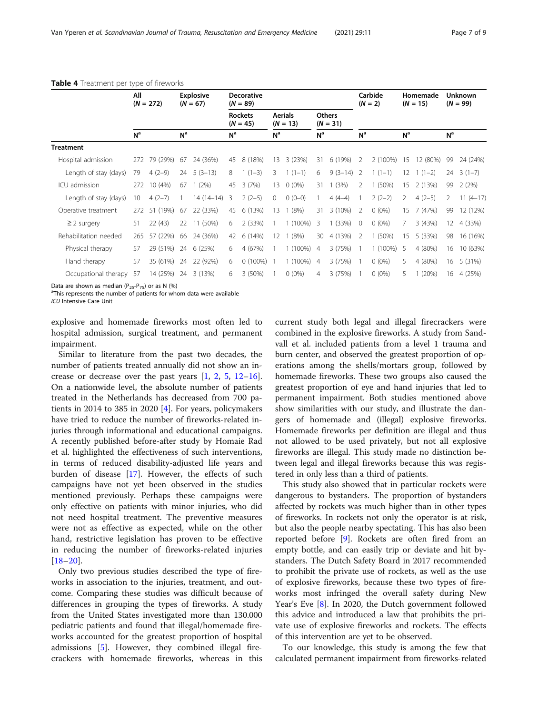|                       | All<br>$(N = 272)$ |             | <b>Explosive</b><br>$(N = 67)$ |                           |                              | <b>Decorative</b><br>$(N = 89)$ |                       |              |                |                             |                | Carbide<br>$(N = 2)$ |                | Homemade<br>$(N = 15)$ | <b>Unknown</b><br>$(N = 99)$ |            |  |
|-----------------------|--------------------|-------------|--------------------------------|---------------------------|------------------------------|---------------------------------|-----------------------|--------------|----------------|-----------------------------|----------------|----------------------|----------------|------------------------|------------------------------|------------|--|
|                       |                    |             |                                |                           | <b>Rockets</b><br>$(N = 45)$ |                                 | Aerials<br>$(N = 13)$ |              |                | <b>Others</b><br>$(N = 31)$ |                |                      |                |                        |                              |            |  |
|                       | N <sup>a</sup>     |             | N <sup>a</sup>                 |                           | N <sup>a</sup>               |                                 | N <sup>a</sup>        |              | N <sup>a</sup> |                             | N <sup>a</sup> |                      | N <sup>a</sup> |                        | N <sup>a</sup>               |            |  |
| Treatment             |                    |             |                                |                           |                              |                                 |                       |              |                |                             |                |                      |                |                        |                              |            |  |
| Hospital admission    | 272                | 79 (29%)    | 67                             | 24 (36%)                  | 45                           | 8 (18%)                         | 13                    | 3(23%)       | 31             | 6(19%)                      | 2              | 2 (100%)             | 15             | 12 (80%)               | 99                           | 24 (24%)   |  |
| Length of stay (days) | 79                 | $4(2-9)$    |                                | $24 \quad 5 \quad (3-13)$ | 8                            | $1(1-3)$                        | 3                     | $1(1-1)$     | 6              | $9(3-14)$                   | -2             | $1(1-1)$             | 12             | $1(1-2)$               | 24                           | $3(1-7)$   |  |
| ICU admission         | 272                | 10 (4%)     | 67                             | (2%)                      | 45                           | 3(7%)                           | 13                    | $0(0\%)$     | 31             | (3%)                        | $\mathcal{P}$  | (50%)                | 15             | 2(13%)                 | 99                           | 2(2%)      |  |
| Length of stay (days) | 10                 | $4(2-7)$    |                                | $14(14-14)$               | 3                            | $2(2-5)$                        | $\circ$               | $0(0-0)$     |                | $4(4-4)$                    |                | $2(2-2)$             | 2              | $4(2-5)$               | 2                            | $11(4-17)$ |  |
| Operative treatment   | 272                | (19%)<br>51 | 67                             | 22 (33%)                  | 45                           | 6 (13%)                         | 13                    | (8%)         | 31             | $3(10\%)$                   | 2              | $0(0\%)$             | 15             | 7(47%)                 | 99                           | 12 (12%)   |  |
| $\geq$ 2 surgery      | 51                 | 22(43)      | 22                             | 11 (50%)                  | 6                            | 2(33%)                          |                       | $1(100\%)$   | 3              | (33%)                       | $\overline{0}$ | $0(0\%)$             |                | 3(43%)                 | 12                           | 4 (33%)    |  |
| Rehabilitation needed | 265                | 57 (22%)    | 66                             | 24 (36%)                  | 42                           | 6(14%)                          | 12                    | (8%)         | 30             | 4 (13%)                     | 2              | $1(50\%)$            | 15             | 5 (33%)                | 98                           | 16 (16%)   |  |
| Physical therapy      | 57                 | 29 (51%)    | 24                             | 6(25%)                    | 6                            | 4 (67%)                         |                       | 1 (100%) 4   |                | 3(75%)                      |                | $1(100\%)$           | 5              | 4 (80%)                | 16                           | 10 (63%)   |  |
| Hand therapy          | 57                 | 35 (61%)    | 24                             | 22 (92%)                  | 6                            | $0(100\%)$                      |                       | $1(100\%)$ 4 |                | 3(75%)                      |                | $0(0\%)$             | 5              | 4 (80%)                | 16                           | 5 (31%)    |  |
| Occupational therapy  | 57                 | 14 (25%)    | 24                             | 3 (13%)                   | 6                            | 3(50%)                          |                       | $0(0\%)$     | $\overline{4}$ | 3(75%)                      |                | $0(0\%)$             | 5.             | 1(20%)                 | 16                           | 4 (25%)    |  |

#### <span id="page-6-0"></span>Table 4 Treatment per type of fireworks

Data are shown as median ( $P_{25} - P_{75}$ ) or as N (%)

<sup>a</sup>This represents the number of patients for whom data were available

ICU Intensive Care Unit

explosive and homemade fireworks most often led to hospital admission, surgical treatment, and permanent impairment.

Similar to literature from the past two decades, the number of patients treated annually did not show an increase or decrease over the past years  $[1, 2, 5, 12-16]$  $[1, 2, 5, 12-16]$  $[1, 2, 5, 12-16]$  $[1, 2, 5, 12-16]$  $[1, 2, 5, 12-16]$  $[1, 2, 5, 12-16]$  $[1, 2, 5, 12-16]$  $[1, 2, 5, 12-16]$  $[1, 2, 5, 12-16]$  $[1, 2, 5, 12-16]$  $[1, 2, 5, 12-16]$ . On a nationwide level, the absolute number of patients treated in the Netherlands has decreased from 700 patients in 2014 to 385 in 2020 [\[4](#page-8-0)]. For years, policymakers have tried to reduce the number of fireworks-related injuries through informational and educational campaigns. A recently published before-after study by Homaie Rad et al. highlighted the effectiveness of such interventions, in terms of reduced disability-adjusted life years and burden of disease [[17](#page-8-0)]. However, the effects of such campaigns have not yet been observed in the studies mentioned previously. Perhaps these campaigns were only effective on patients with minor injuries, who did not need hospital treatment. The preventive measures were not as effective as expected, while on the other hand, restrictive legislation has proven to be effective in reducing the number of fireworks-related injuries  $[18-20]$  $[18-20]$  $[18-20]$  $[18-20]$ .

Only two previous studies described the type of fireworks in association to the injuries, treatment, and outcome. Comparing these studies was difficult because of differences in grouping the types of fireworks. A study from the United States investigated more than 130.000 pediatric patients and found that illegal/homemade fireworks accounted for the greatest proportion of hospital admissions [\[5\]](#page-8-0). However, they combined illegal firecrackers with homemade fireworks, whereas in this current study both legal and illegal firecrackers were combined in the explosive fireworks. A study from Sandvall et al. included patients from a level 1 trauma and burn center, and observed the greatest proportion of operations among the shells/mortars group, followed by homemade fireworks. These two groups also caused the greatest proportion of eye and hand injuries that led to permanent impairment. Both studies mentioned above show similarities with our study, and illustrate the dangers of homemade and (illegal) explosive fireworks. Homemade fireworks per definition are illegal and thus not allowed to be used privately, but not all explosive fireworks are illegal. This study made no distinction between legal and illegal fireworks because this was registered in only less than a third of patients.

This study also showed that in particular rockets were dangerous to bystanders. The proportion of bystanders affected by rockets was much higher than in other types of fireworks. In rockets not only the operator is at risk, but also the people nearby spectating. This has also been reported before [[9\]](#page-8-0). Rockets are often fired from an empty bottle, and can easily trip or deviate and hit bystanders. The Dutch Safety Board in 2017 recommended to prohibit the private use of rockets, as well as the use of explosive fireworks, because these two types of fireworks most infringed the overall safety during New Year's Eve [[8\]](#page-8-0). In 2020, the Dutch government followed this advice and introduced a law that prohibits the private use of explosive fireworks and rockets. The effects of this intervention are yet to be observed.

To our knowledge, this study is among the few that calculated permanent impairment from fireworks-related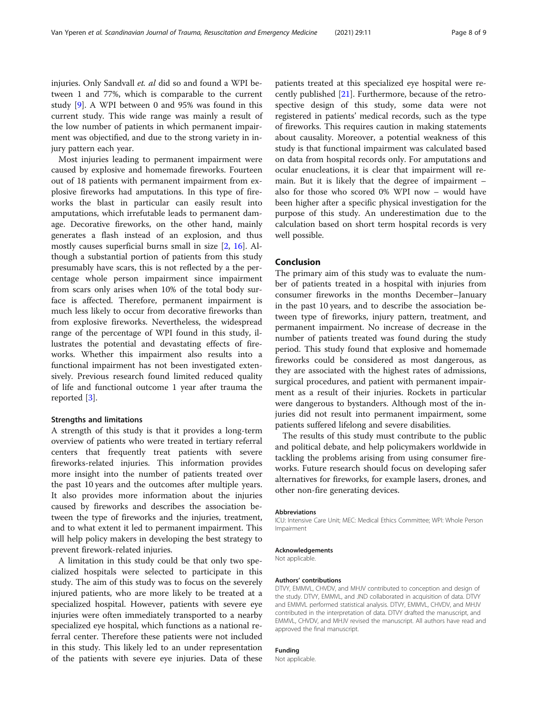injuries. Only Sandvall et. al did so and found a WPI between 1 and 77%, which is comparable to the current study [\[9](#page-8-0)]. A WPI between 0 and 95% was found in this current study. This wide range was mainly a result of the low number of patients in which permanent impairment was objectified, and due to the strong variety in injury pattern each year.

Most injuries leading to permanent impairment were caused by explosive and homemade fireworks. Fourteen out of 18 patients with permanent impairment from explosive fireworks had amputations. In this type of fireworks the blast in particular can easily result into amputations, which irrefutable leads to permanent damage. Decorative fireworks, on the other hand, mainly generates a flash instead of an explosion, and thus mostly causes superficial burns small in size [\[2,](#page-8-0) [16](#page-8-0)]. Although a substantial portion of patients from this study presumably have scars, this is not reflected by a the percentage whole person impairment since impairment from scars only arises when 10% of the total body surface is affected. Therefore, permanent impairment is much less likely to occur from decorative fireworks than from explosive fireworks. Nevertheless, the widespread range of the percentage of WPI found in this study, illustrates the potential and devastating effects of fireworks. Whether this impairment also results into a functional impairment has not been investigated extensively. Previous research found limited reduced quality of life and functional outcome 1 year after trauma the reported [[3\]](#page-8-0).

#### Strengths and limitations

A strength of this study is that it provides a long-term overview of patients who were treated in tertiary referral centers that frequently treat patients with severe fireworks-related injuries. This information provides more insight into the number of patients treated over the past 10 years and the outcomes after multiple years. It also provides more information about the injuries caused by fireworks and describes the association between the type of fireworks and the injuries, treatment, and to what extent it led to permanent impairment. This will help policy makers in developing the best strategy to prevent firework-related injuries.

A limitation in this study could be that only two specialized hospitals were selected to participate in this study. The aim of this study was to focus on the severely injured patients, who are more likely to be treated at a specialized hospital. However, patients with severe eye injuries were often immediately transported to a nearby specialized eye hospital, which functions as a national referral center. Therefore these patients were not included in this study. This likely led to an under representation of the patients with severe eye injuries. Data of these patients treated at this specialized eye hospital were recently published [[21\]](#page-8-0). Furthermore, because of the retrospective design of this study, some data were not registered in patients' medical records, such as the type of fireworks. This requires caution in making statements about causality. Moreover, a potential weakness of this study is that functional impairment was calculated based on data from hospital records only. For amputations and ocular enucleations, it is clear that impairment will remain. But it is likely that the degree of impairment – also for those who scored 0% WPI now – would have been higher after a specific physical investigation for the purpose of this study. An underestimation due to the calculation based on short term hospital records is very well possible.

#### Conclusion

The primary aim of this study was to evaluate the number of patients treated in a hospital with injuries from consumer fireworks in the months December–January in the past 10 years, and to describe the association between type of fireworks, injury pattern, treatment, and permanent impairment. No increase of decrease in the number of patients treated was found during the study period. This study found that explosive and homemade fireworks could be considered as most dangerous, as they are associated with the highest rates of admissions, surgical procedures, and patient with permanent impairment as a result of their injuries. Rockets in particular were dangerous to bystanders. Although most of the injuries did not result into permanent impairment, some patients suffered lifelong and severe disabilities.

The results of this study must contribute to the public and political debate, and help policymakers worldwide in tackling the problems arising from using consumer fireworks. Future research should focus on developing safer alternatives for fireworks, for example lasers, drones, and other non-fire generating devices.

#### Abbreviations

ICU: Intensive Care Unit; MEC: Medical Ethics Committee; WPI: Whole Person Impairment

#### Acknowledgements

Not applicable.

#### Authors' contributions

DTVY, EMMVL, CHVDV, and MHJV contributed to conception and design of the study. DTVY, EMMVL, and JND collaborated in acquisition of data. DTVY and EMMVL performed statistical analysis. DTVY, EMMVL, CHVDV, and MHJV contributed in the interpretation of data. DTVY drafted the manuscript, and EMMVL, CHVDV, and MHJV revised the manuscript. All authors have read and approved the final manuscript.

#### Funding

Not applicable.